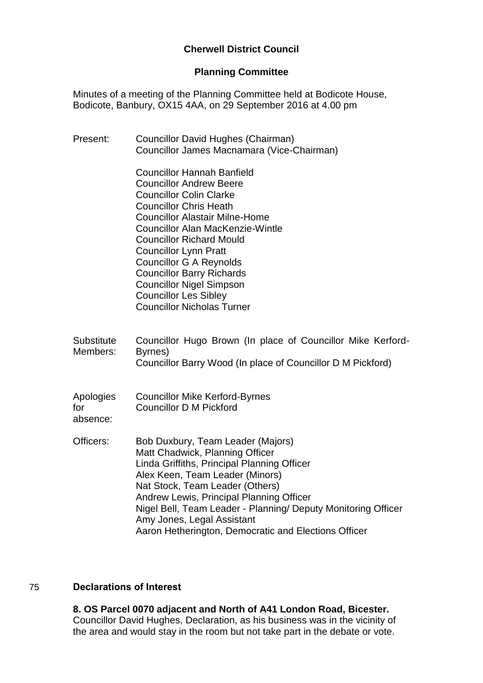# **Cherwell District Council**

#### **Planning Committee**

Minutes of a meeting of the Planning Committee held at Bodicote House, Bodicote, Banbury, OX15 4AA, on 29 September 2016 at 4.00 pm

| Present:                      | Councillor David Hughes (Chairman)<br>Councillor James Macnamara (Vice-Chairman)                                                                                                                                                                                                                                                                                                                                                                                            |
|-------------------------------|-----------------------------------------------------------------------------------------------------------------------------------------------------------------------------------------------------------------------------------------------------------------------------------------------------------------------------------------------------------------------------------------------------------------------------------------------------------------------------|
|                               | <b>Councillor Hannah Banfield</b><br><b>Councillor Andrew Beere</b><br><b>Councillor Colin Clarke</b><br><b>Councillor Chris Heath</b><br><b>Councillor Alastair Milne-Home</b><br><b>Councillor Alan MacKenzie-Wintle</b><br><b>Councillor Richard Mould</b><br><b>Councillor Lynn Pratt</b><br><b>Councillor G A Reynolds</b><br><b>Councillor Barry Richards</b><br><b>Councillor Nigel Simpson</b><br><b>Councillor Les Sibley</b><br><b>Councillor Nicholas Turner</b> |
| <b>Substitute</b><br>Members: | Councillor Hugo Brown (In place of Councillor Mike Kerford-<br>Byrnes)<br>Councillor Barry Wood (In place of Councillor D M Pickford)                                                                                                                                                                                                                                                                                                                                       |
| Apologies<br>for<br>absence:  | <b>Councillor Mike Kerford-Byrnes</b><br>Councillor D M Pickford                                                                                                                                                                                                                                                                                                                                                                                                            |
| Officers:                     | Bob Duxbury, Team Leader (Majors)<br>Matt Chadwick, Planning Officer<br>Linda Griffiths, Principal Planning Officer<br>Alex Keen, Team Leader (Minors)<br>Nat Stock, Team Leader (Others)<br>Andrew Lewis, Principal Planning Officer<br>Nigel Bell, Team Leader - Planning/ Deputy Monitoring Officer<br>Amy Jones, Legal Assistant<br>Aaron Hetherington, Democratic and Elections Officer                                                                                |

# 75 **Declarations of Interest**

**8. OS Parcel 0070 adjacent and North of A41 London Road, Bicester.** Councillor David Hughes, Declaration, as his business was in the vicinity of the area and would stay in the room but not take part in the debate or vote.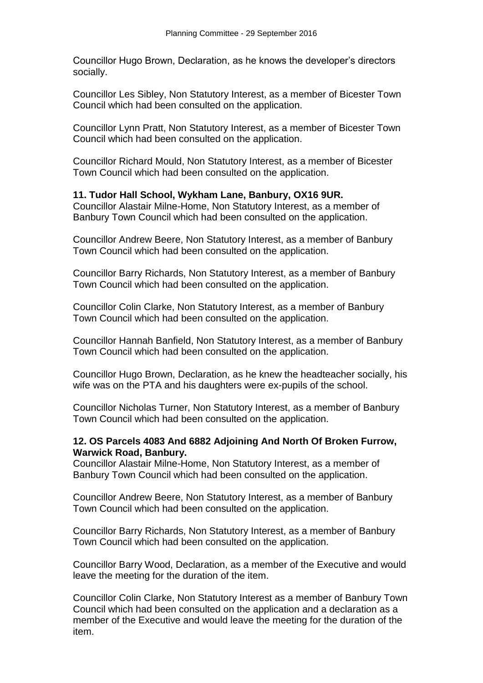Councillor Hugo Brown, Declaration, as he knows the developer's directors socially.

Councillor Les Sibley, Non Statutory Interest, as a member of Bicester Town Council which had been consulted on the application.

Councillor Lynn Pratt, Non Statutory Interest, as a member of Bicester Town Council which had been consulted on the application.

Councillor Richard Mould, Non Statutory Interest, as a member of Bicester Town Council which had been consulted on the application.

#### **11. Tudor Hall School, Wykham Lane, Banbury, OX16 9UR.**

Councillor Alastair Milne-Home, Non Statutory Interest, as a member of Banbury Town Council which had been consulted on the application.

Councillor Andrew Beere, Non Statutory Interest, as a member of Banbury Town Council which had been consulted on the application.

Councillor Barry Richards, Non Statutory Interest, as a member of Banbury Town Council which had been consulted on the application.

Councillor Colin Clarke, Non Statutory Interest, as a member of Banbury Town Council which had been consulted on the application.

Councillor Hannah Banfield, Non Statutory Interest, as a member of Banbury Town Council which had been consulted on the application.

Councillor Hugo Brown, Declaration, as he knew the headteacher socially, his wife was on the PTA and his daughters were ex-pupils of the school.

Councillor Nicholas Turner, Non Statutory Interest, as a member of Banbury Town Council which had been consulted on the application.

### **12. OS Parcels 4083 And 6882 Adjoining And North Of Broken Furrow, Warwick Road, Banbury.**

Councillor Alastair Milne-Home, Non Statutory Interest, as a member of Banbury Town Council which had been consulted on the application.

Councillor Andrew Beere, Non Statutory Interest, as a member of Banbury Town Council which had been consulted on the application.

Councillor Barry Richards, Non Statutory Interest, as a member of Banbury Town Council which had been consulted on the application.

Councillor Barry Wood, Declaration, as a member of the Executive and would leave the meeting for the duration of the item.

Councillor Colin Clarke, Non Statutory Interest as a member of Banbury Town Council which had been consulted on the application and a declaration as a member of the Executive and would leave the meeting for the duration of the item.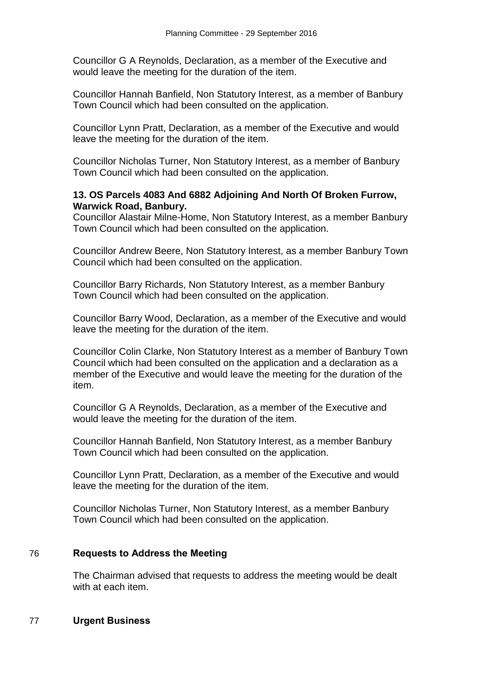Councillor G A Reynolds, Declaration, as a member of the Executive and would leave the meeting for the duration of the item.

Councillor Hannah Banfield, Non Statutory Interest, as a member of Banbury Town Council which had been consulted on the application.

Councillor Lynn Pratt, Declaration, as a member of the Executive and would leave the meeting for the duration of the item.

Councillor Nicholas Turner, Non Statutory Interest, as a member of Banbury Town Council which had been consulted on the application.

#### **13. OS Parcels 4083 And 6882 Adjoining And North Of Broken Furrow, Warwick Road, Banbury.**

Councillor Alastair Milne-Home, Non Statutory Interest, as a member Banbury Town Council which had been consulted on the application.

Councillor Andrew Beere, Non Statutory Interest, as a member Banbury Town Council which had been consulted on the application.

Councillor Barry Richards, Non Statutory Interest, as a member Banbury Town Council which had been consulted on the application.

Councillor Barry Wood, Declaration, as a member of the Executive and would leave the meeting for the duration of the item.

Councillor Colin Clarke, Non Statutory Interest as a member of Banbury Town Council which had been consulted on the application and a declaration as a member of the Executive and would leave the meeting for the duration of the item.

Councillor G A Reynolds, Declaration, as a member of the Executive and would leave the meeting for the duration of the item.

Councillor Hannah Banfield, Non Statutory Interest, as a member Banbury Town Council which had been consulted on the application.

Councillor Lynn Pratt, Declaration, as a member of the Executive and would leave the meeting for the duration of the item.

Councillor Nicholas Turner, Non Statutory Interest, as a member Banbury Town Council which had been consulted on the application.

### 76 **Requests to Address the Meeting**

The Chairman advised that requests to address the meeting would be dealt with at each item.

### 77 **Urgent Business**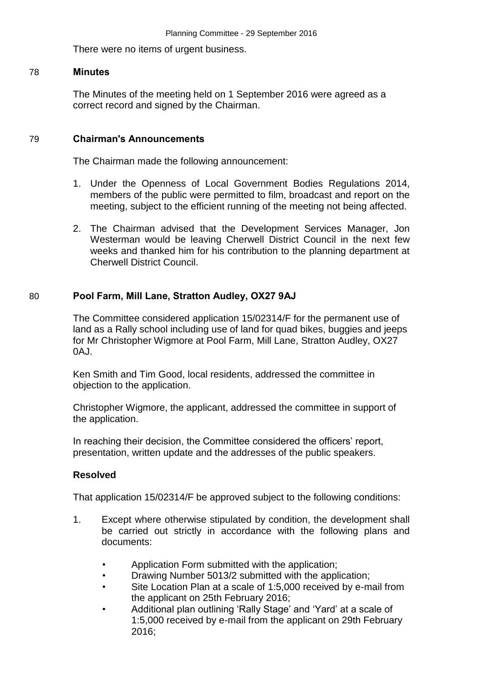There were no items of urgent business.

#### 78 **Minutes**

The Minutes of the meeting held on 1 September 2016 were agreed as a correct record and signed by the Chairman.

#### 79 **Chairman's Announcements**

The Chairman made the following announcement:

- 1. Under the Openness of Local Government Bodies Regulations 2014, members of the public were permitted to film, broadcast and report on the meeting, subject to the efficient running of the meeting not being affected.
- 2. The Chairman advised that the Development Services Manager, Jon Westerman would be leaving Cherwell District Council in the next few weeks and thanked him for his contribution to the planning department at Cherwell District Council.

#### 80 **Pool Farm, Mill Lane, Stratton Audley, OX27 9AJ**

The Committee considered application 15/02314/F for the permanent use of land as a Rally school including use of land for quad bikes, buggies and jeeps for Mr Christopher Wigmore at Pool Farm, Mill Lane, Stratton Audley, OX27 0AJ.

Ken Smith and Tim Good, local residents, addressed the committee in objection to the application.

Christopher Wigmore, the applicant, addressed the committee in support of the application.

In reaching their decision, the Committee considered the officers' report, presentation, written update and the addresses of the public speakers.

#### **Resolved**

That application 15/02314/F be approved subject to the following conditions:

- 1. Except where otherwise stipulated by condition, the development shall be carried out strictly in accordance with the following plans and documents:
	- Application Form submitted with the application;
	- Drawing Number 5013/2 submitted with the application;
	- Site Location Plan at a scale of 1:5,000 received by e-mail from the applicant on 25th February 2016;
	- Additional plan outlining 'Rally Stage' and 'Yard' at a scale of 1:5,000 received by e-mail from the applicant on 29th February 2016;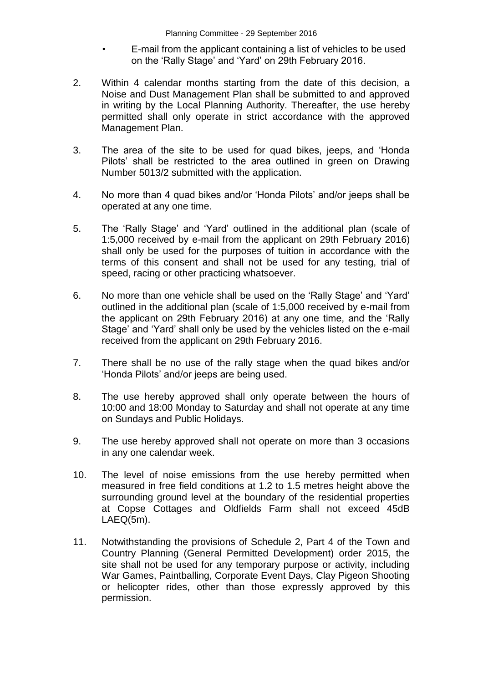- E-mail from the applicant containing a list of vehicles to be used on the 'Rally Stage' and 'Yard' on 29th February 2016.
- 2. Within 4 calendar months starting from the date of this decision, a Noise and Dust Management Plan shall be submitted to and approved in writing by the Local Planning Authority. Thereafter, the use hereby permitted shall only operate in strict accordance with the approved Management Plan.
- 3. The area of the site to be used for quad bikes, jeeps, and 'Honda Pilots' shall be restricted to the area outlined in green on Drawing Number 5013/2 submitted with the application.
- 4. No more than 4 quad bikes and/or 'Honda Pilots' and/or jeeps shall be operated at any one time.
- 5. The 'Rally Stage' and 'Yard' outlined in the additional plan (scale of 1:5,000 received by e-mail from the applicant on 29th February 2016) shall only be used for the purposes of tuition in accordance with the terms of this consent and shall not be used for any testing, trial of speed, racing or other practicing whatsoever.
- 6. No more than one vehicle shall be used on the 'Rally Stage' and 'Yard' outlined in the additional plan (scale of 1:5,000 received by e-mail from the applicant on 29th February 2016) at any one time, and the 'Rally Stage' and 'Yard' shall only be used by the vehicles listed on the e-mail received from the applicant on 29th February 2016.
- 7. There shall be no use of the rally stage when the quad bikes and/or 'Honda Pilots' and/or jeeps are being used.
- 8. The use hereby approved shall only operate between the hours of 10:00 and 18:00 Monday to Saturday and shall not operate at any time on Sundays and Public Holidays.
- 9. The use hereby approved shall not operate on more than 3 occasions in any one calendar week.
- 10. The level of noise emissions from the use hereby permitted when measured in free field conditions at 1.2 to 1.5 metres height above the surrounding ground level at the boundary of the residential properties at Copse Cottages and Oldfields Farm shall not exceed 45dB LAEQ(5m).
- 11. Notwithstanding the provisions of Schedule 2, Part 4 of the Town and Country Planning (General Permitted Development) order 2015, the site shall not be used for any temporary purpose or activity, including War Games, Paintballing, Corporate Event Days, Clay Pigeon Shooting or helicopter rides, other than those expressly approved by this permission.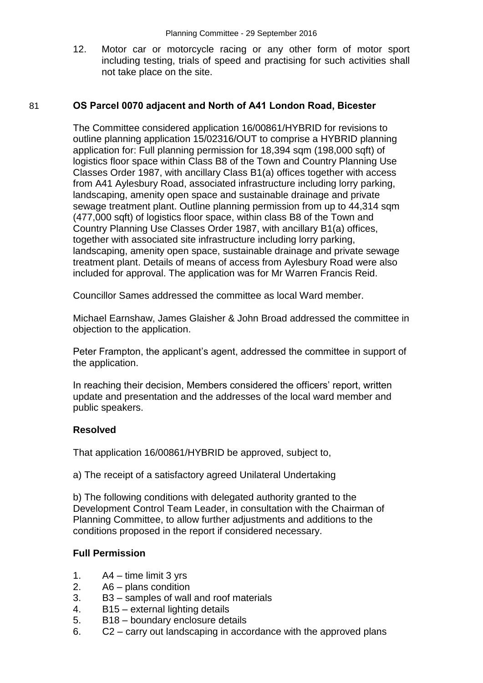12. Motor car or motorcycle racing or any other form of motor sport including testing, trials of speed and practising for such activities shall not take place on the site.

### 81 **OS Parcel 0070 adjacent and North of A41 London Road, Bicester**

The Committee considered application 16/00861/HYBRID for revisions to outline planning application 15/02316/OUT to comprise a HYBRID planning application for: Full planning permission for 18,394 sqm (198,000 sqft) of logistics floor space within Class B8 of the Town and Country Planning Use Classes Order 1987, with ancillary Class B1(a) offices together with access from A41 Aylesbury Road, associated infrastructure including lorry parking, landscaping, amenity open space and sustainable drainage and private sewage treatment plant. Outline planning permission from up to 44,314 sqm (477,000 sqft) of logistics floor space, within class B8 of the Town and Country Planning Use Classes Order 1987, with ancillary B1(a) offices, together with associated site infrastructure including lorry parking, landscaping, amenity open space, sustainable drainage and private sewage treatment plant. Details of means of access from Aylesbury Road were also included for approval. The application was for Mr Warren Francis Reid.

Councillor Sames addressed the committee as local Ward member.

Michael Earnshaw, James Glaisher & John Broad addressed the committee in objection to the application.

Peter Frampton, the applicant's agent, addressed the committee in support of the application.

In reaching their decision, Members considered the officers' report, written update and presentation and the addresses of the local ward member and public speakers.

#### **Resolved**

That application 16/00861/HYBRID be approved, subject to,

a) The receipt of a satisfactory agreed Unilateral Undertaking

b) The following conditions with delegated authority granted to the Development Control Team Leader, in consultation with the Chairman of Planning Committee, to allow further adjustments and additions to the conditions proposed in the report if considered necessary.

### **Full Permission**

- 1. A4 time limit 3 yrs
- 2. A6 plans condition
- 3. B3 samples of wall and roof materials
- 4. B15 external lighting details
- 5. B18 boundary enclosure details
- 6. C2 carry out landscaping in accordance with the approved plans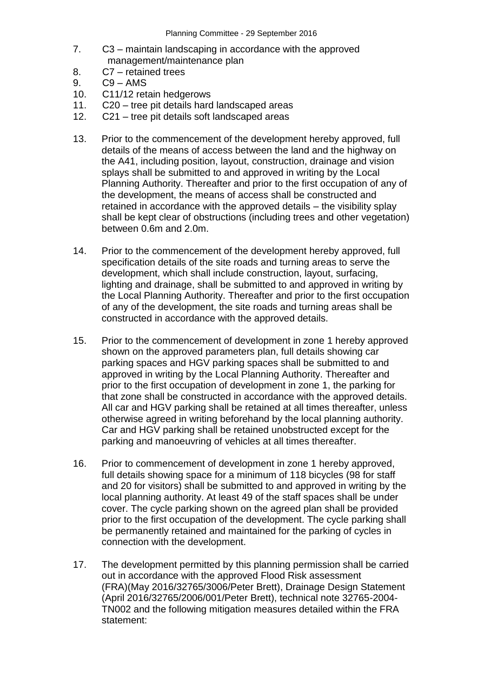- 7. C3 maintain landscaping in accordance with the approved management/maintenance plan
- 8. C7 retained trees
- 9. C9 AMS
- 10. C11/12 retain hedgerows
- 11. C20 tree pit details hard landscaped areas
- 12. C21 tree pit details soft landscaped areas
- 13. Prior to the commencement of the development hereby approved, full details of the means of access between the land and the highway on the A41, including position, layout, construction, drainage and vision splays shall be submitted to and approved in writing by the Local Planning Authority. Thereafter and prior to the first occupation of any of the development, the means of access shall be constructed and retained in accordance with the approved details – the visibility splay shall be kept clear of obstructions (including trees and other vegetation) between 0.6m and 2.0m.
- 14. Prior to the commencement of the development hereby approved, full specification details of the site roads and turning areas to serve the development, which shall include construction, layout, surfacing, lighting and drainage, shall be submitted to and approved in writing by the Local Planning Authority. Thereafter and prior to the first occupation of any of the development, the site roads and turning areas shall be constructed in accordance with the approved details.
- 15. Prior to the commencement of development in zone 1 hereby approved shown on the approved parameters plan, full details showing car parking spaces and HGV parking spaces shall be submitted to and approved in writing by the Local Planning Authority. Thereafter and prior to the first occupation of development in zone 1, the parking for that zone shall be constructed in accordance with the approved details. All car and HGV parking shall be retained at all times thereafter, unless otherwise agreed in writing beforehand by the local planning authority. Car and HGV parking shall be retained unobstructed except for the parking and manoeuvring of vehicles at all times thereafter.
- 16. Prior to commencement of development in zone 1 hereby approved, full details showing space for a minimum of 118 bicycles (98 for staff and 20 for visitors) shall be submitted to and approved in writing by the local planning authority. At least 49 of the staff spaces shall be under cover. The cycle parking shown on the agreed plan shall be provided prior to the first occupation of the development. The cycle parking shall be permanently retained and maintained for the parking of cycles in connection with the development.
- 17. The development permitted by this planning permission shall be carried out in accordance with the approved Flood Risk assessment (FRA)(May 2016/32765/3006/Peter Brett), Drainage Design Statement (April 2016/32765/2006/001/Peter Brett), technical note 32765-2004- TN002 and the following mitigation measures detailed within the FRA statement: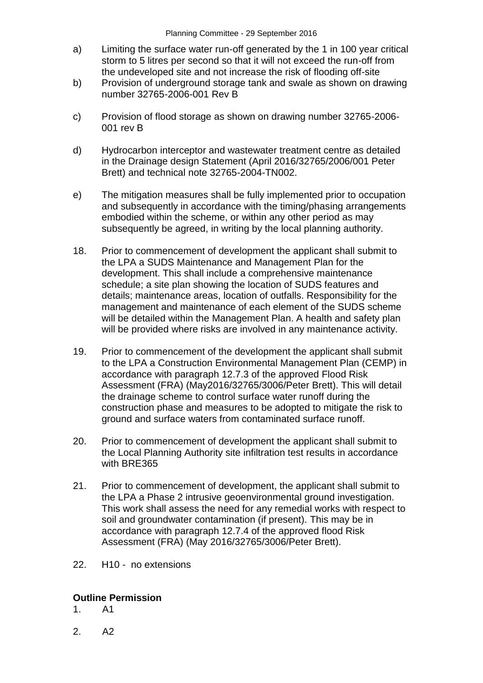- a) Limiting the surface water run-off generated by the 1 in 100 year critical storm to 5 litres per second so that it will not exceed the run-off from the undeveloped site and not increase the risk of flooding off-site
- b) Provision of underground storage tank and swale as shown on drawing number 32765-2006-001 Rev B
- c) Provision of flood storage as shown on drawing number 32765-2006- 001 rev B
- d) Hydrocarbon interceptor and wastewater treatment centre as detailed in the Drainage design Statement (April 2016/32765/2006/001 Peter Brett) and technical note 32765-2004-TN002.
- e) The mitigation measures shall be fully implemented prior to occupation and subsequently in accordance with the timing/phasing arrangements embodied within the scheme, or within any other period as may subsequently be agreed, in writing by the local planning authority.
- 18. Prior to commencement of development the applicant shall submit to the LPA a SUDS Maintenance and Management Plan for the development. This shall include a comprehensive maintenance schedule; a site plan showing the location of SUDS features and details; maintenance areas, location of outfalls. Responsibility for the management and maintenance of each element of the SUDS scheme will be detailed within the Management Plan. A health and safety plan will be provided where risks are involved in any maintenance activity.
- 19. Prior to commencement of the development the applicant shall submit to the LPA a Construction Environmental Management Plan (CEMP) in accordance with paragraph 12.7.3 of the approved Flood Risk Assessment (FRA) (May2016/32765/3006/Peter Brett). This will detail the drainage scheme to control surface water runoff during the construction phase and measures to be adopted to mitigate the risk to ground and surface waters from contaminated surface runoff.
- 20. Prior to commencement of development the applicant shall submit to the Local Planning Authority site infiltration test results in accordance with BRE365
- 21. Prior to commencement of development, the applicant shall submit to the LPA a Phase 2 intrusive geoenvironmental ground investigation. This work shall assess the need for any remedial works with respect to soil and groundwater contamination (if present). This may be in accordance with paragraph 12.7.4 of the approved flood Risk Assessment (FRA) (May 2016/32765/3006/Peter Brett).
- 22. H10 no extensions

# **Outline Permission**

- 1. A1
- 2. A2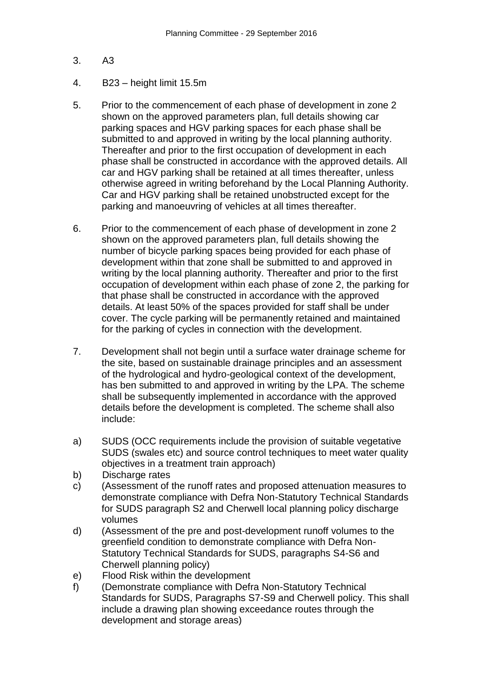- 3. A3
- 4. B23 height limit 15.5m
- 5. Prior to the commencement of each phase of development in zone 2 shown on the approved parameters plan, full details showing car parking spaces and HGV parking spaces for each phase shall be submitted to and approved in writing by the local planning authority. Thereafter and prior to the first occupation of development in each phase shall be constructed in accordance with the approved details. All car and HGV parking shall be retained at all times thereafter, unless otherwise agreed in writing beforehand by the Local Planning Authority. Car and HGV parking shall be retained unobstructed except for the parking and manoeuvring of vehicles at all times thereafter.
- 6. Prior to the commencement of each phase of development in zone 2 shown on the approved parameters plan, full details showing the number of bicycle parking spaces being provided for each phase of development within that zone shall be submitted to and approved in writing by the local planning authority. Thereafter and prior to the first occupation of development within each phase of zone 2, the parking for that phase shall be constructed in accordance with the approved details. At least 50% of the spaces provided for staff shall be under cover. The cycle parking will be permanently retained and maintained for the parking of cycles in connection with the development.
- 7. Development shall not begin until a surface water drainage scheme for the site, based on sustainable drainage principles and an assessment of the hydrological and hydro-geological context of the development, has ben submitted to and approved in writing by the LPA. The scheme shall be subsequently implemented in accordance with the approved details before the development is completed. The scheme shall also include:
- a) SUDS (OCC requirements include the provision of suitable vegetative SUDS (swales etc) and source control techniques to meet water quality objectives in a treatment train approach)
- b) Discharge rates
- c) (Assessment of the runoff rates and proposed attenuation measures to demonstrate compliance with Defra Non-Statutory Technical Standards for SUDS paragraph S2 and Cherwell local planning policy discharge volumes
- d) (Assessment of the pre and post-development runoff volumes to the greenfield condition to demonstrate compliance with Defra Non-Statutory Technical Standards for SUDS, paragraphs S4-S6 and Cherwell planning policy)
- e) Flood Risk within the development
- f) (Demonstrate compliance with Defra Non-Statutory Technical Standards for SUDS, Paragraphs S7-S9 and Cherwell policy. This shall include a drawing plan showing exceedance routes through the development and storage areas)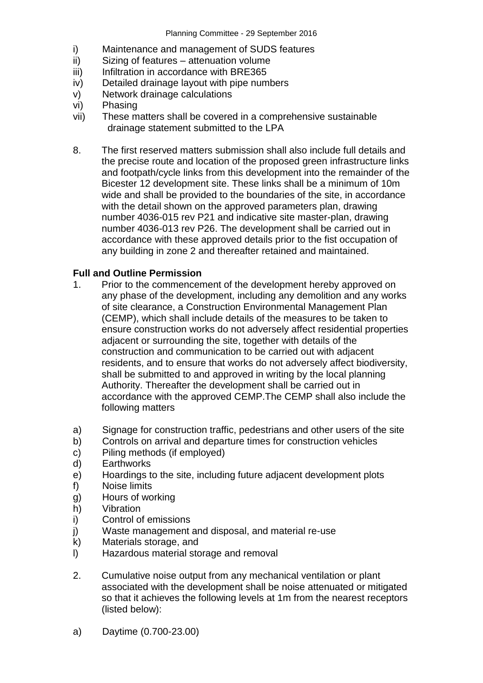- i) Maintenance and management of SUDS features
- ii) Sizing of features attenuation volume
- iii) Infiltration in accordance with BRE365
- iv) Detailed drainage layout with pipe numbers
- v) Network drainage calculations
- vi) Phasing
- vii) These matters shall be covered in a comprehensive sustainable drainage statement submitted to the LPA
- 8. The first reserved matters submission shall also include full details and the precise route and location of the proposed green infrastructure links and footpath/cycle links from this development into the remainder of the Bicester 12 development site. These links shall be a minimum of 10m wide and shall be provided to the boundaries of the site, in accordance with the detail shown on the approved parameters plan, drawing number 4036-015 rev P21 and indicative site master-plan, drawing number 4036-013 rev P26. The development shall be carried out in accordance with these approved details prior to the fist occupation of any building in zone 2 and thereafter retained and maintained.

### **Full and Outline Permission**

- 1. Prior to the commencement of the development hereby approved on any phase of the development, including any demolition and any works of site clearance, a Construction Environmental Management Plan (CEMP), which shall include details of the measures to be taken to ensure construction works do not adversely affect residential properties adjacent or surrounding the site, together with details of the construction and communication to be carried out with adjacent residents, and to ensure that works do not adversely affect biodiversity, shall be submitted to and approved in writing by the local planning Authority. Thereafter the development shall be carried out in accordance with the approved CEMP.The CEMP shall also include the following matters
- a) Signage for construction traffic, pedestrians and other users of the site
- b) Controls on arrival and departure times for construction vehicles
- c) Piling methods (if employed)
- d) Earthworks
- e) Hoardings to the site, including future adjacent development plots
- f) Noise limits
- g) Hours of working
- h) Vibration
- i) Control of emissions
- j) Waste management and disposal, and material re-use
- k) Materials storage, and
- l) Hazardous material storage and removal
- 2. Cumulative noise output from any mechanical ventilation or plant associated with the development shall be noise attenuated or mitigated so that it achieves the following levels at 1m from the nearest receptors (listed below):
- a) Daytime (0.700-23.00)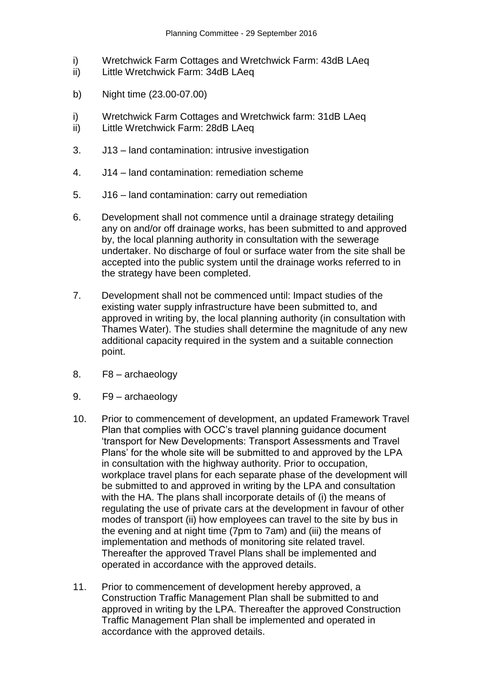- i) Wretchwick Farm Cottages and Wretchwick Farm: 43dB LAeq
- ii) Little Wretchwick Farm: 34dB LAeq
- b) Night time (23.00-07.00)
- i) Wretchwick Farm Cottages and Wretchwick farm: 31dB LAeq
- ii) Little Wretchwick Farm: 28dB LAeq
- 3. J13 land contamination: intrusive investigation
- 4. J14 land contamination: remediation scheme
- 5. J16 land contamination: carry out remediation
- 6. Development shall not commence until a drainage strategy detailing any on and/or off drainage works, has been submitted to and approved by, the local planning authority in consultation with the sewerage undertaker. No discharge of foul or surface water from the site shall be accepted into the public system until the drainage works referred to in the strategy have been completed.
- 7. Development shall not be commenced until: Impact studies of the existing water supply infrastructure have been submitted to, and approved in writing by, the local planning authority (in consultation with Thames Water). The studies shall determine the magnitude of any new additional capacity required in the system and a suitable connection point.
- 8. F8 archaeology
- 9. F9 archaeology
- 10. Prior to commencement of development, an updated Framework Travel Plan that complies with OCC's travel planning guidance document 'transport for New Developments: Transport Assessments and Travel Plans' for the whole site will be submitted to and approved by the LPA in consultation with the highway authority. Prior to occupation, workplace travel plans for each separate phase of the development will be submitted to and approved in writing by the LPA and consultation with the HA. The plans shall incorporate details of (i) the means of regulating the use of private cars at the development in favour of other modes of transport (ii) how employees can travel to the site by bus in the evening and at night time (7pm to 7am) and (iii) the means of implementation and methods of monitoring site related travel. Thereafter the approved Travel Plans shall be implemented and operated in accordance with the approved details.
- 11. Prior to commencement of development hereby approved, a Construction Traffic Management Plan shall be submitted to and approved in writing by the LPA. Thereafter the approved Construction Traffic Management Plan shall be implemented and operated in accordance with the approved details.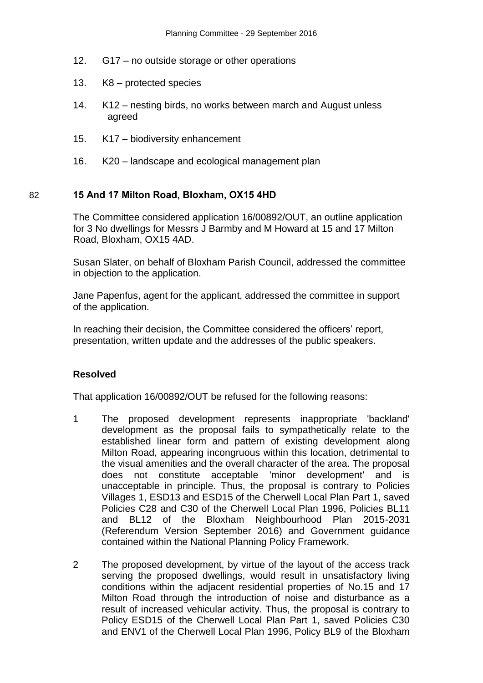- 12. G17 no outside storage or other operations
- 13. K8 protected species
- 14. K12 nesting birds, no works between march and August unless agreed
- 15. K17 biodiversity enhancement
- 16. K20 landscape and ecological management plan

### 82 **15 And 17 Milton Road, Bloxham, OX15 4HD**

The Committee considered application 16/00892/OUT, an outline application for 3 No dwellings for Messrs J Barmby and M Howard at 15 and 17 Milton Road, Bloxham, OX15 4AD.

Susan Slater, on behalf of Bloxham Parish Council, addressed the committee in objection to the application.

Jane Papenfus, agent for the applicant, addressed the committee in support of the application.

In reaching their decision, the Committee considered the officers' report, presentation, written update and the addresses of the public speakers.

### **Resolved**

That application 16/00892/OUT be refused for the following reasons:

- 1 The proposed development represents inappropriate 'backland' development as the proposal fails to sympathetically relate to the established linear form and pattern of existing development along Milton Road, appearing incongruous within this location, detrimental to the visual amenities and the overall character of the area. The proposal does not constitute acceptable 'minor development' and is unacceptable in principle. Thus, the proposal is contrary to Policies Villages 1, ESD13 and ESD15 of the Cherwell Local Plan Part 1, saved Policies C28 and C30 of the Cherwell Local Plan 1996, Policies BL11 and BL12 of the Bloxham Neighbourhood Plan 2015-2031 (Referendum Version September 2016) and Government guidance contained within the National Planning Policy Framework.
- 2 The proposed development, by virtue of the layout of the access track serving the proposed dwellings, would result in unsatisfactory living conditions within the adjacent residential properties of No.15 and 17 Milton Road through the introduction of noise and disturbance as a result of increased vehicular activity. Thus, the proposal is contrary to Policy ESD15 of the Cherwell Local Plan Part 1, saved Policies C30 and ENV1 of the Cherwell Local Plan 1996, Policy BL9 of the Bloxham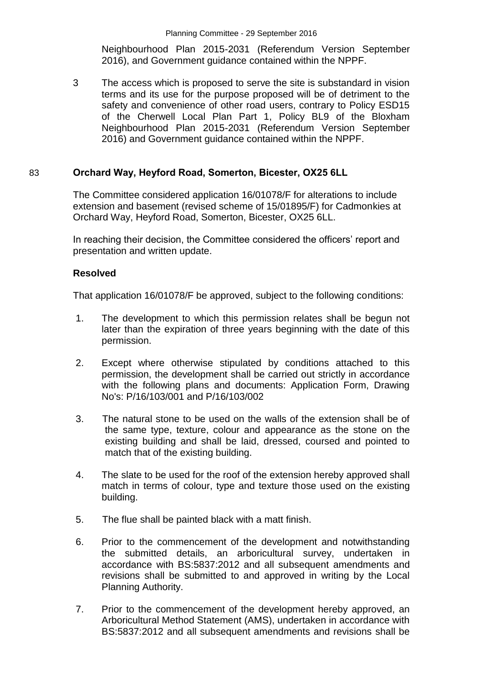Neighbourhood Plan 2015-2031 (Referendum Version September 2016), and Government guidance contained within the NPPF.

3 The access which is proposed to serve the site is substandard in vision terms and its use for the purpose proposed will be of detriment to the safety and convenience of other road users, contrary to Policy ESD15 of the Cherwell Local Plan Part 1, Policy BL9 of the Bloxham Neighbourhood Plan 2015-2031 (Referendum Version September 2016) and Government guidance contained within the NPPF.

### 83 **Orchard Way, Heyford Road, Somerton, Bicester, OX25 6LL**

The Committee considered application 16/01078/F for alterations to include extension and basement (revised scheme of 15/01895/F) for Cadmonkies at Orchard Way, Heyford Road, Somerton, Bicester, OX25 6LL.

In reaching their decision, the Committee considered the officers' report and presentation and written update.

### **Resolved**

That application 16/01078/F be approved, subject to the following conditions:

- 1. The development to which this permission relates shall be begun not later than the expiration of three years beginning with the date of this permission.
- 2. Except where otherwise stipulated by conditions attached to this permission, the development shall be carried out strictly in accordance with the following plans and documents: Application Form, Drawing No's: P/16/103/001 and P/16/103/002
- 3. The natural stone to be used on the walls of the extension shall be of the same type, texture, colour and appearance as the stone on the existing building and shall be laid, dressed, coursed and pointed to match that of the existing building.
- 4. The slate to be used for the roof of the extension hereby approved shall match in terms of colour, type and texture those used on the existing building.
- 5. The flue shall be painted black with a matt finish.
- 6. Prior to the commencement of the development and notwithstanding the submitted details, an arboricultural survey, undertaken in accordance with BS:5837:2012 and all subsequent amendments and revisions shall be submitted to and approved in writing by the Local Planning Authority.
- 7. Prior to the commencement of the development hereby approved, an Arboricultural Method Statement (AMS), undertaken in accordance with BS:5837:2012 and all subsequent amendments and revisions shall be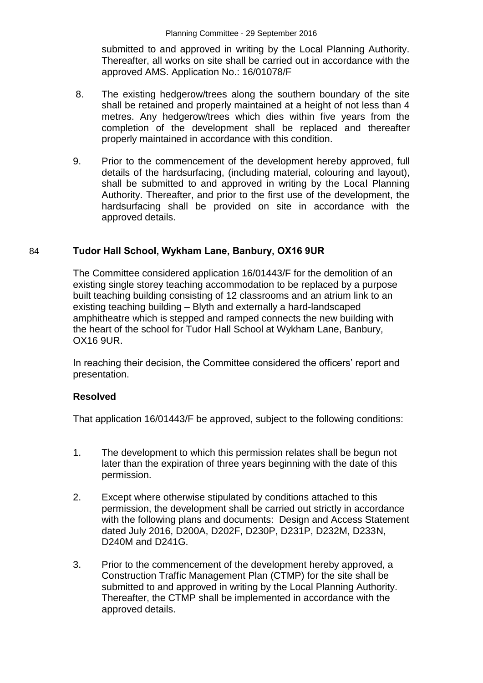submitted to and approved in writing by the Local Planning Authority. Thereafter, all works on site shall be carried out in accordance with the approved AMS. Application No.: 16/01078/F

- 8. The existing hedgerow/trees along the southern boundary of the site shall be retained and properly maintained at a height of not less than 4 metres. Any hedgerow/trees which dies within five years from the completion of the development shall be replaced and thereafter properly maintained in accordance with this condition.
- 9. Prior to the commencement of the development hereby approved, full details of the hardsurfacing, (including material, colouring and layout), shall be submitted to and approved in writing by the Local Planning Authority. Thereafter, and prior to the first use of the development, the hardsurfacing shall be provided on site in accordance with the approved details.

### 84 **Tudor Hall School, Wykham Lane, Banbury, OX16 9UR**

The Committee considered application 16/01443/F for the demolition of an existing single storey teaching accommodation to be replaced by a purpose built teaching building consisting of 12 classrooms and an atrium link to an existing teaching building – Blyth and externally a hard-landscaped amphitheatre which is stepped and ramped connects the new building with the heart of the school for Tudor Hall School at Wykham Lane, Banbury, OX16 9UR.

In reaching their decision, the Committee considered the officers' report and presentation.

### **Resolved**

That application 16/01443/F be approved, subject to the following conditions:

- 1. The development to which this permission relates shall be begun not later than the expiration of three years beginning with the date of this permission.
- 2. Except where otherwise stipulated by conditions attached to this permission, the development shall be carried out strictly in accordance with the following plans and documents: Design and Access Statement dated July 2016, D200A, D202F, D230P, D231P, D232M, D233N, D240M and D241G.
- 3. Prior to the commencement of the development hereby approved, a Construction Traffic Management Plan (CTMP) for the site shall be submitted to and approved in writing by the Local Planning Authority. Thereafter, the CTMP shall be implemented in accordance with the approved details.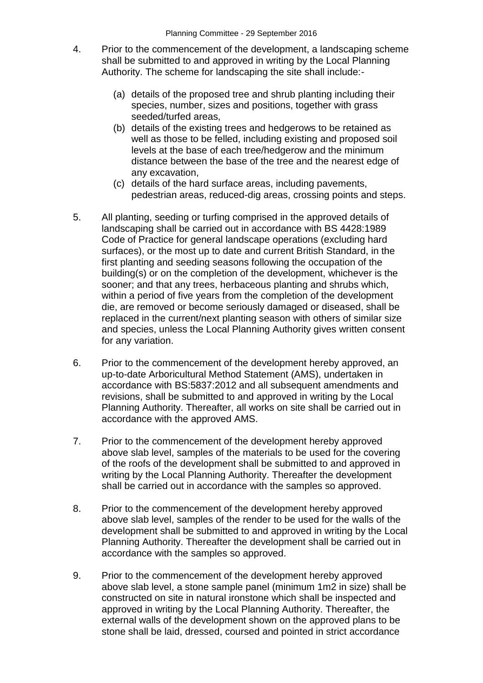- 4. Prior to the commencement of the development, a landscaping scheme shall be submitted to and approved in writing by the Local Planning Authority. The scheme for landscaping the site shall include:-
	- (a) details of the proposed tree and shrub planting including their species, number, sizes and positions, together with grass seeded/turfed areas,
	- (b) details of the existing trees and hedgerows to be retained as well as those to be felled, including existing and proposed soil levels at the base of each tree/hedgerow and the minimum distance between the base of the tree and the nearest edge of any excavation,
	- (c) details of the hard surface areas, including pavements, pedestrian areas, reduced-dig areas, crossing points and steps.
- 5. All planting, seeding or turfing comprised in the approved details of landscaping shall be carried out in accordance with BS 4428:1989 Code of Practice for general landscape operations (excluding hard surfaces), or the most up to date and current British Standard, in the first planting and seeding seasons following the occupation of the building(s) or on the completion of the development, whichever is the sooner; and that any trees, herbaceous planting and shrubs which, within a period of five years from the completion of the development die, are removed or become seriously damaged or diseased, shall be replaced in the current/next planting season with others of similar size and species, unless the Local Planning Authority gives written consent for any variation.
- 6. Prior to the commencement of the development hereby approved, an up-to-date Arboricultural Method Statement (AMS), undertaken in accordance with BS:5837:2012 and all subsequent amendments and revisions, shall be submitted to and approved in writing by the Local Planning Authority. Thereafter, all works on site shall be carried out in accordance with the approved AMS.
- 7. Prior to the commencement of the development hereby approved above slab level, samples of the materials to be used for the covering of the roofs of the development shall be submitted to and approved in writing by the Local Planning Authority. Thereafter the development shall be carried out in accordance with the samples so approved.
- 8. Prior to the commencement of the development hereby approved above slab level, samples of the render to be used for the walls of the development shall be submitted to and approved in writing by the Local Planning Authority. Thereafter the development shall be carried out in accordance with the samples so approved.
- 9. Prior to the commencement of the development hereby approved above slab level, a stone sample panel (minimum 1m2 in size) shall be constructed on site in natural ironstone which shall be inspected and approved in writing by the Local Planning Authority. Thereafter, the external walls of the development shown on the approved plans to be stone shall be laid, dressed, coursed and pointed in strict accordance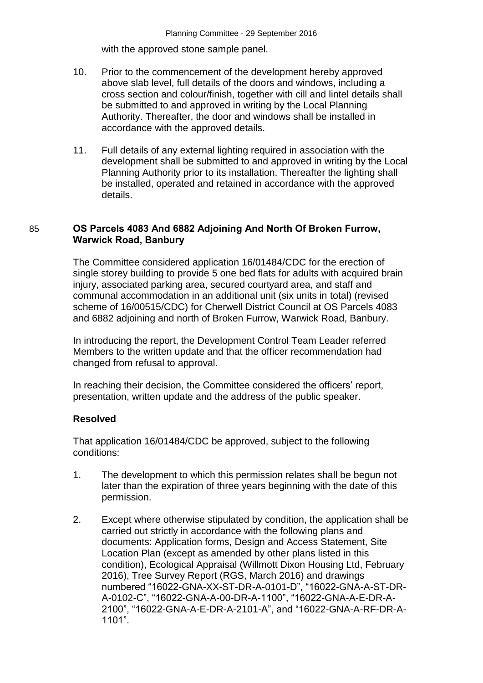with the approved stone sample panel.

- 10. Prior to the commencement of the development hereby approved above slab level, full details of the doors and windows, including a cross section and colour/finish, together with cill and lintel details shall be submitted to and approved in writing by the Local Planning Authority. Thereafter, the door and windows shall be installed in accordance with the approved details.
- 11. Full details of any external lighting required in association with the development shall be submitted to and approved in writing by the Local Planning Authority prior to its installation. Thereafter the lighting shall be installed, operated and retained in accordance with the approved details.

### 85 **OS Parcels 4083 And 6882 Adjoining And North Of Broken Furrow, Warwick Road, Banbury**

The Committee considered application 16/01484/CDC for the erection of single storey building to provide 5 one bed flats for adults with acquired brain injury, associated parking area, secured courtyard area, and staff and communal accommodation in an additional unit (six units in total) (revised scheme of 16/00515/CDC) for Cherwell District Council at OS Parcels 4083 and 6882 adjoining and north of Broken Furrow, Warwick Road, Banbury.

In introducing the report, the Development Control Team Leader referred Members to the written update and that the officer recommendation had changed from refusal to approval.

In reaching their decision, the Committee considered the officers' report, presentation, written update and the address of the public speaker.

#### **Resolved**

That application 16/01484/CDC be approved, subject to the following conditions:

- 1. The development to which this permission relates shall be begun not later than the expiration of three years beginning with the date of this permission.
- 2. Except where otherwise stipulated by condition, the application shall be carried out strictly in accordance with the following plans and documents: Application forms, Design and Access Statement, Site Location Plan (except as amended by other plans listed in this condition), Ecological Appraisal (Willmott Dixon Housing Ltd, February 2016), Tree Survey Report (RGS, March 2016) and drawings numbered "16022-GNA-XX-ST-DR-A-0101-D", "16022-GNA-A-ST-DR-A-0102-C", "16022-GNA-A-00-DR-A-1100", "16022-GNA-A-E-DR-A-2100", "16022-GNA-A-E-DR-A-2101-A", and "16022-GNA-A-RF-DR-A-1101".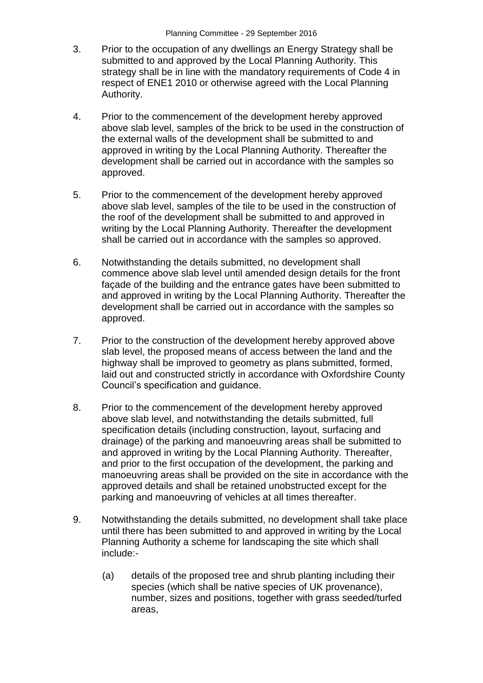- 3. Prior to the occupation of any dwellings an Energy Strategy shall be submitted to and approved by the Local Planning Authority. This strategy shall be in line with the mandatory requirements of Code 4 in respect of ENE1 2010 or otherwise agreed with the Local Planning Authority.
- 4. Prior to the commencement of the development hereby approved above slab level, samples of the brick to be used in the construction of the external walls of the development shall be submitted to and approved in writing by the Local Planning Authority. Thereafter the development shall be carried out in accordance with the samples so approved.
- 5. Prior to the commencement of the development hereby approved above slab level, samples of the tile to be used in the construction of the roof of the development shall be submitted to and approved in writing by the Local Planning Authority. Thereafter the development shall be carried out in accordance with the samples so approved.
- 6. Notwithstanding the details submitted, no development shall commence above slab level until amended design details for the front façade of the building and the entrance gates have been submitted to and approved in writing by the Local Planning Authority. Thereafter the development shall be carried out in accordance with the samples so approved.
- 7. Prior to the construction of the development hereby approved above slab level, the proposed means of access between the land and the highway shall be improved to geometry as plans submitted, formed, laid out and constructed strictly in accordance with Oxfordshire County Council's specification and guidance.
- 8. Prior to the commencement of the development hereby approved above slab level, and notwithstanding the details submitted, full specification details (including construction, layout, surfacing and drainage) of the parking and manoeuvring areas shall be submitted to and approved in writing by the Local Planning Authority. Thereafter, and prior to the first occupation of the development, the parking and manoeuvring areas shall be provided on the site in accordance with the approved details and shall be retained unobstructed except for the parking and manoeuvring of vehicles at all times thereafter.
- 9. Notwithstanding the details submitted, no development shall take place until there has been submitted to and approved in writing by the Local Planning Authority a scheme for landscaping the site which shall include:-
	- (a) details of the proposed tree and shrub planting including their species (which shall be native species of UK provenance), number, sizes and positions, together with grass seeded/turfed areas,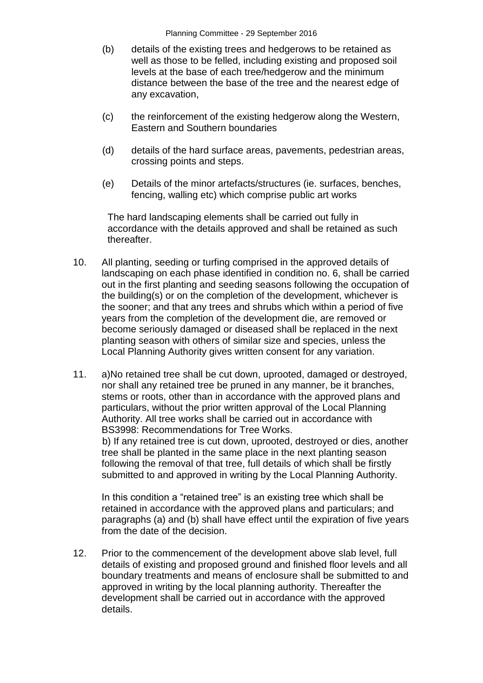Planning Committee - 29 September 2016

- (b) details of the existing trees and hedgerows to be retained as well as those to be felled, including existing and proposed soil levels at the base of each tree/hedgerow and the minimum distance between the base of the tree and the nearest edge of any excavation,
- (c) the reinforcement of the existing hedgerow along the Western, Eastern and Southern boundaries
- (d) details of the hard surface areas, pavements, pedestrian areas, crossing points and steps.
- (e) Details of the minor artefacts/structures (ie. surfaces, benches, fencing, walling etc) which comprise public art works

The hard landscaping elements shall be carried out fully in accordance with the details approved and shall be retained as such thereafter.

- 10. All planting, seeding or turfing comprised in the approved details of landscaping on each phase identified in condition no. 6, shall be carried out in the first planting and seeding seasons following the occupation of the building(s) or on the completion of the development, whichever is the sooner; and that any trees and shrubs which within a period of five years from the completion of the development die, are removed or become seriously damaged or diseased shall be replaced in the next planting season with others of similar size and species, unless the Local Planning Authority gives written consent for any variation.
- 11. a)No retained tree shall be cut down, uprooted, damaged or destroyed, nor shall any retained tree be pruned in any manner, be it branches, stems or roots, other than in accordance with the approved plans and particulars, without the prior written approval of the Local Planning Authority. All tree works shall be carried out in accordance with BS3998: Recommendations for Tree Works.

b) If any retained tree is cut down, uprooted, destroyed or dies, another tree shall be planted in the same place in the next planting season following the removal of that tree, full details of which shall be firstly submitted to and approved in writing by the Local Planning Authority.

In this condition a "retained tree" is an existing tree which shall be retained in accordance with the approved plans and particulars; and paragraphs (a) and (b) shall have effect until the expiration of five years from the date of the decision.

12. Prior to the commencement of the development above slab level, full details of existing and proposed ground and finished floor levels and all boundary treatments and means of enclosure shall be submitted to and approved in writing by the local planning authority. Thereafter the development shall be carried out in accordance with the approved details.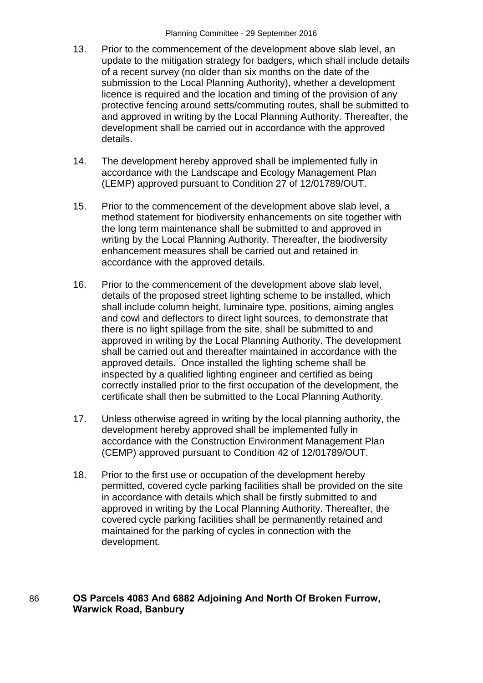- 13. Prior to the commencement of the development above slab level, an update to the mitigation strategy for badgers, which shall include details of a recent survey (no older than six months on the date of the submission to the Local Planning Authority), whether a development licence is required and the location and timing of the provision of any protective fencing around setts/commuting routes, shall be submitted to and approved in writing by the Local Planning Authority. Thereafter, the development shall be carried out in accordance with the approved details.
- 14. The development hereby approved shall be implemented fully in accordance with the Landscape and Ecology Management Plan (LEMP) approved pursuant to Condition 27 of 12/01789/OUT.
- 15. Prior to the commencement of the development above slab level, a method statement for biodiversity enhancements on site together with the long term maintenance shall be submitted to and approved in writing by the Local Planning Authority. Thereafter, the biodiversity enhancement measures shall be carried out and retained in accordance with the approved details.
- 16. Prior to the commencement of the development above slab level, details of the proposed street lighting scheme to be installed, which shall include column height, luminaire type, positions, aiming angles and cowl and deflectors to direct light sources, to demonstrate that there is no light spillage from the site, shall be submitted to and approved in writing by the Local Planning Authority. The development shall be carried out and thereafter maintained in accordance with the approved details. Once installed the lighting scheme shall be inspected by a qualified lighting engineer and certified as being correctly installed prior to the first occupation of the development, the certificate shall then be submitted to the Local Planning Authority.
- 17. Unless otherwise agreed in writing by the local planning authority, the development hereby approved shall be implemented fully in accordance with the Construction Environment Management Plan (CEMP) approved pursuant to Condition 42 of 12/01789/OUT.
- 18. Prior to the first use or occupation of the development hereby permitted, covered cycle parking facilities shall be provided on the site in accordance with details which shall be firstly submitted to and approved in writing by the Local Planning Authority. Thereafter, the covered cycle parking facilities shall be permanently retained and maintained for the parking of cycles in connection with the development.

### 86 **OS Parcels 4083 And 6882 Adjoining And North Of Broken Furrow, Warwick Road, Banbury**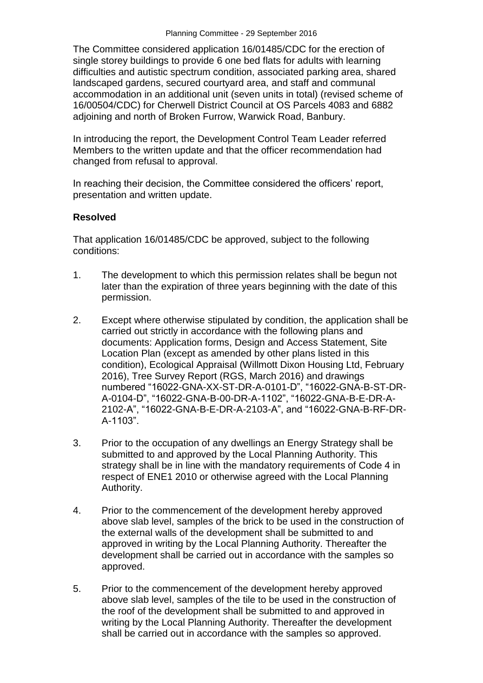The Committee considered application 16/01485/CDC for the erection of single storey buildings to provide 6 one bed flats for adults with learning difficulties and autistic spectrum condition, associated parking area, shared landscaped gardens, secured courtyard area, and staff and communal accommodation in an additional unit (seven units in total) (revised scheme of 16/00504/CDC) for Cherwell District Council at OS Parcels 4083 and 6882 adjoining and north of Broken Furrow, Warwick Road, Banbury.

In introducing the report, the Development Control Team Leader referred Members to the written update and that the officer recommendation had changed from refusal to approval.

In reaching their decision, the Committee considered the officers' report, presentation and written update.

#### **Resolved**

That application 16/01485/CDC be approved, subject to the following conditions:

- 1. The development to which this permission relates shall be begun not later than the expiration of three years beginning with the date of this permission.
- 2. Except where otherwise stipulated by condition, the application shall be carried out strictly in accordance with the following plans and documents: Application forms, Design and Access Statement, Site Location Plan (except as amended by other plans listed in this condition), Ecological Appraisal (Willmott Dixon Housing Ltd, February 2016), Tree Survey Report (RGS, March 2016) and drawings numbered "16022-GNA-XX-ST-DR-A-0101-D", "16022-GNA-B-ST-DR-A-0104-D", "16022-GNA-B-00-DR-A-1102", "16022-GNA-B-E-DR-A-2102-A", "16022-GNA-B-E-DR-A-2103-A", and "16022-GNA-B-RF-DR-A-1103".
- 3. Prior to the occupation of any dwellings an Energy Strategy shall be submitted to and approved by the Local Planning Authority. This strategy shall be in line with the mandatory requirements of Code 4 in respect of ENE1 2010 or otherwise agreed with the Local Planning Authority.
- 4. Prior to the commencement of the development hereby approved above slab level, samples of the brick to be used in the construction of the external walls of the development shall be submitted to and approved in writing by the Local Planning Authority. Thereafter the development shall be carried out in accordance with the samples so approved.
- 5. Prior to the commencement of the development hereby approved above slab level, samples of the tile to be used in the construction of the roof of the development shall be submitted to and approved in writing by the Local Planning Authority. Thereafter the development shall be carried out in accordance with the samples so approved.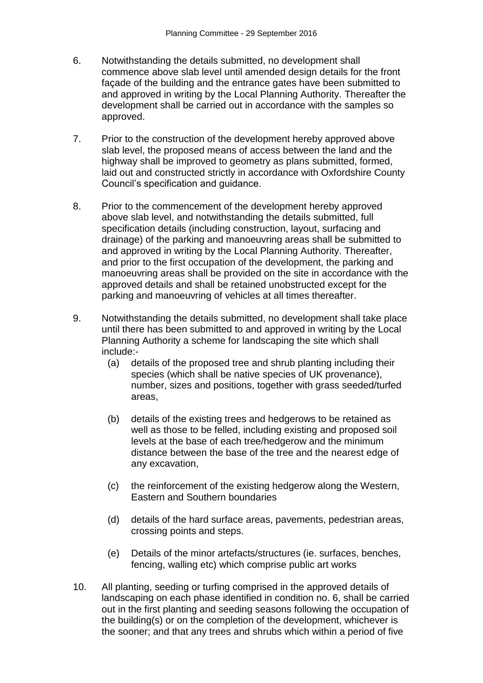- 6. Notwithstanding the details submitted, no development shall commence above slab level until amended design details for the front façade of the building and the entrance gates have been submitted to and approved in writing by the Local Planning Authority. Thereafter the development shall be carried out in accordance with the samples so approved.
- 7. Prior to the construction of the development hereby approved above slab level, the proposed means of access between the land and the highway shall be improved to geometry as plans submitted, formed, laid out and constructed strictly in accordance with Oxfordshire County Council's specification and guidance.
- 8. Prior to the commencement of the development hereby approved above slab level, and notwithstanding the details submitted, full specification details (including construction, layout, surfacing and drainage) of the parking and manoeuvring areas shall be submitted to and approved in writing by the Local Planning Authority. Thereafter, and prior to the first occupation of the development, the parking and manoeuvring areas shall be provided on the site in accordance with the approved details and shall be retained unobstructed except for the parking and manoeuvring of vehicles at all times thereafter.
- 9. Notwithstanding the details submitted, no development shall take place until there has been submitted to and approved in writing by the Local Planning Authority a scheme for landscaping the site which shall include:-
	- (a) details of the proposed tree and shrub planting including their species (which shall be native species of UK provenance), number, sizes and positions, together with grass seeded/turfed areas,
	- (b) details of the existing trees and hedgerows to be retained as well as those to be felled, including existing and proposed soil levels at the base of each tree/hedgerow and the minimum distance between the base of the tree and the nearest edge of any excavation,
	- (c) the reinforcement of the existing hedgerow along the Western, Eastern and Southern boundaries
	- (d) details of the hard surface areas, pavements, pedestrian areas, crossing points and steps.
	- (e) Details of the minor artefacts/structures (ie. surfaces, benches, fencing, walling etc) which comprise public art works
- 10. All planting, seeding or turfing comprised in the approved details of landscaping on each phase identified in condition no. 6, shall be carried out in the first planting and seeding seasons following the occupation of the building(s) or on the completion of the development, whichever is the sooner; and that any trees and shrubs which within a period of five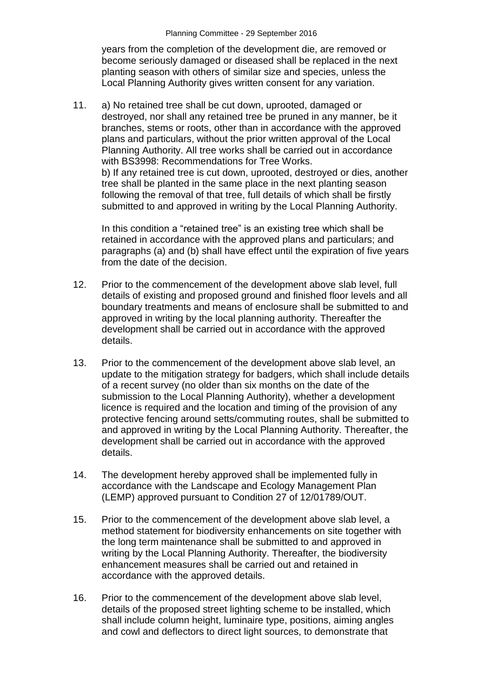years from the completion of the development die, are removed or become seriously damaged or diseased shall be replaced in the next planting season with others of similar size and species, unless the Local Planning Authority gives written consent for any variation.

11. a) No retained tree shall be cut down, uprooted, damaged or destroyed, nor shall any retained tree be pruned in any manner, be it branches, stems or roots, other than in accordance with the approved plans and particulars, without the prior written approval of the Local Planning Authority. All tree works shall be carried out in accordance with BS3998: Recommendations for Tree Works. b) If any retained tree is cut down, uprooted, destroyed or dies, another tree shall be planted in the same place in the next planting season following the removal of that tree, full details of which shall be firstly submitted to and approved in writing by the Local Planning Authority.

In this condition a "retained tree" is an existing tree which shall be retained in accordance with the approved plans and particulars; and paragraphs (a) and (b) shall have effect until the expiration of five years from the date of the decision.

- 12. Prior to the commencement of the development above slab level, full details of existing and proposed ground and finished floor levels and all boundary treatments and means of enclosure shall be submitted to and approved in writing by the local planning authority. Thereafter the development shall be carried out in accordance with the approved details.
- 13. Prior to the commencement of the development above slab level, an update to the mitigation strategy for badgers, which shall include details of a recent survey (no older than six months on the date of the submission to the Local Planning Authority), whether a development licence is required and the location and timing of the provision of any protective fencing around setts/commuting routes, shall be submitted to and approved in writing by the Local Planning Authority. Thereafter, the development shall be carried out in accordance with the approved details.
- 14. The development hereby approved shall be implemented fully in accordance with the Landscape and Ecology Management Plan (LEMP) approved pursuant to Condition 27 of 12/01789/OUT.
- 15. Prior to the commencement of the development above slab level, a method statement for biodiversity enhancements on site together with the long term maintenance shall be submitted to and approved in writing by the Local Planning Authority. Thereafter, the biodiversity enhancement measures shall be carried out and retained in accordance with the approved details.
- 16. Prior to the commencement of the development above slab level, details of the proposed street lighting scheme to be installed, which shall include column height, luminaire type, positions, aiming angles and cowl and deflectors to direct light sources, to demonstrate that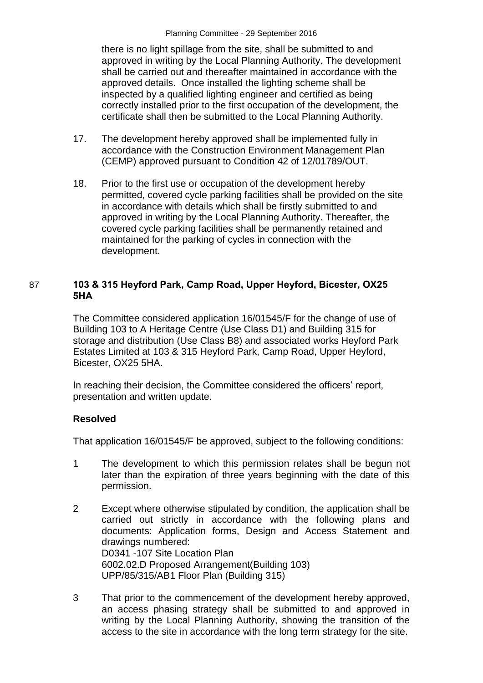there is no light spillage from the site, shall be submitted to and approved in writing by the Local Planning Authority. The development shall be carried out and thereafter maintained in accordance with the approved details. Once installed the lighting scheme shall be inspected by a qualified lighting engineer and certified as being correctly installed prior to the first occupation of the development, the certificate shall then be submitted to the Local Planning Authority.

- 17. The development hereby approved shall be implemented fully in accordance with the Construction Environment Management Plan (CEMP) approved pursuant to Condition 42 of 12/01789/OUT.
- 18. Prior to the first use or occupation of the development hereby permitted, covered cycle parking facilities shall be provided on the site in accordance with details which shall be firstly submitted to and approved in writing by the Local Planning Authority. Thereafter, the covered cycle parking facilities shall be permanently retained and maintained for the parking of cycles in connection with the development.

### 87 **103 & 315 Heyford Park, Camp Road, Upper Heyford, Bicester, OX25 5HA**

The Committee considered application 16/01545/F for the change of use of Building 103 to A Heritage Centre (Use Class D1) and Building 315 for storage and distribution (Use Class B8) and associated works Heyford Park Estates Limited at 103 & 315 Heyford Park, Camp Road, Upper Heyford, Bicester, OX25 5HA.

In reaching their decision, the Committee considered the officers' report, presentation and written update.

### **Resolved**

That application 16/01545/F be approved, subject to the following conditions:

- 1 The development to which this permission relates shall be begun not later than the expiration of three years beginning with the date of this permission.
- 2 Except where otherwise stipulated by condition, the application shall be carried out strictly in accordance with the following plans and documents: Application forms, Design and Access Statement and drawings numbered: D0341 -107 Site Location Plan 6002.02.D Proposed Arrangement(Building 103) UPP/85/315/AB1 Floor Plan (Building 315)
- 3 That prior to the commencement of the development hereby approved, an access phasing strategy shall be submitted to and approved in writing by the Local Planning Authority, showing the transition of the access to the site in accordance with the long term strategy for the site.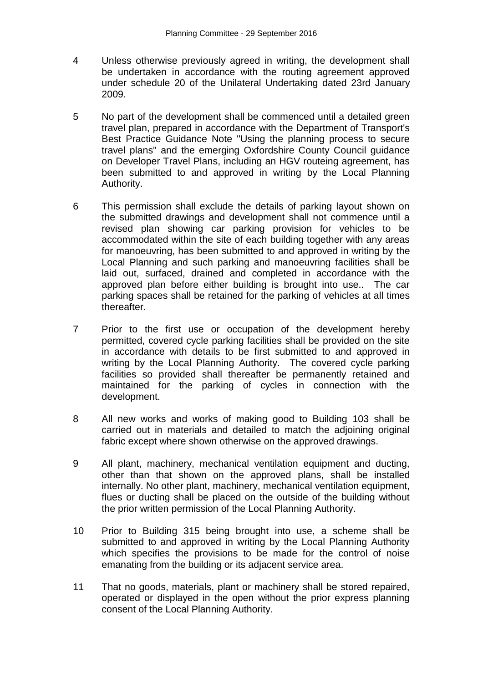- 4 Unless otherwise previously agreed in writing, the development shall be undertaken in accordance with the routing agreement approved under schedule 20 of the Unilateral Undertaking dated 23rd January 2009.
- 5 No part of the development shall be commenced until a detailed green travel plan, prepared in accordance with the Department of Transport's Best Practice Guidance Note "Using the planning process to secure travel plans" and the emerging Oxfordshire County Council guidance on Developer Travel Plans, including an HGV routeing agreement, has been submitted to and approved in writing by the Local Planning Authority.
- 6 This permission shall exclude the details of parking layout shown on the submitted drawings and development shall not commence until a revised plan showing car parking provision for vehicles to be accommodated within the site of each building together with any areas for manoeuvring, has been submitted to and approved in writing by the Local Planning and such parking and manoeuvring facilities shall be laid out, surfaced, drained and completed in accordance with the approved plan before either building is brought into use.. The car parking spaces shall be retained for the parking of vehicles at all times thereafter.
- 7 Prior to the first use or occupation of the development hereby permitted, covered cycle parking facilities shall be provided on the site in accordance with details to be first submitted to and approved in writing by the Local Planning Authority. The covered cycle parking facilities so provided shall thereafter be permanently retained and maintained for the parking of cycles in connection with the development.
- 8 All new works and works of making good to Building 103 shall be carried out in materials and detailed to match the adjoining original fabric except where shown otherwise on the approved drawings.
- 9 All plant, machinery, mechanical ventilation equipment and ducting, other than that shown on the approved plans, shall be installed internally. No other plant, machinery, mechanical ventilation equipment, flues or ducting shall be placed on the outside of the building without the prior written permission of the Local Planning Authority.
- 10 Prior to Building 315 being brought into use, a scheme shall be submitted to and approved in writing by the Local Planning Authority which specifies the provisions to be made for the control of noise emanating from the building or its adjacent service area.
- 11 That no goods, materials, plant or machinery shall be stored repaired, operated or displayed in the open without the prior express planning consent of the Local Planning Authority.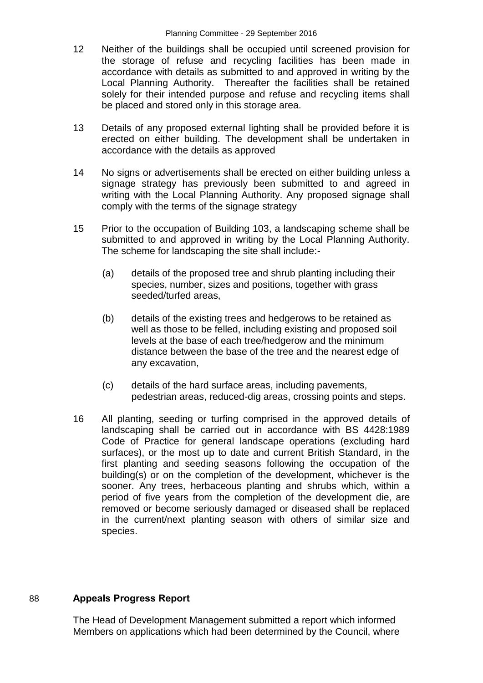- 12 Neither of the buildings shall be occupied until screened provision for the storage of refuse and recycling facilities has been made in accordance with details as submitted to and approved in writing by the Local Planning Authority. Thereafter the facilities shall be retained solely for their intended purpose and refuse and recycling items shall be placed and stored only in this storage area.
- 13 Details of any proposed external lighting shall be provided before it is erected on either building. The development shall be undertaken in accordance with the details as approved
- 14 No signs or advertisements shall be erected on either building unless a signage strategy has previously been submitted to and agreed in writing with the Local Planning Authority. Any proposed signage shall comply with the terms of the signage strategy
- 15 Prior to the occupation of Building 103, a landscaping scheme shall be submitted to and approved in writing by the Local Planning Authority. The scheme for landscaping the site shall include:-
	- (a) details of the proposed tree and shrub planting including their species, number, sizes and positions, together with grass seeded/turfed areas,
	- (b) details of the existing trees and hedgerows to be retained as well as those to be felled, including existing and proposed soil levels at the base of each tree/hedgerow and the minimum distance between the base of the tree and the nearest edge of any excavation,
	- (c) details of the hard surface areas, including pavements, pedestrian areas, reduced-dig areas, crossing points and steps.
- 16 All planting, seeding or turfing comprised in the approved details of landscaping shall be carried out in accordance with BS 4428:1989 Code of Practice for general landscape operations (excluding hard surfaces), or the most up to date and current British Standard, in the first planting and seeding seasons following the occupation of the building(s) or on the completion of the development, whichever is the sooner. Any trees, herbaceous planting and shrubs which, within a period of five years from the completion of the development die, are removed or become seriously damaged or diseased shall be replaced in the current/next planting season with others of similar size and species.

# 88 **Appeals Progress Report**

The Head of Development Management submitted a report which informed Members on applications which had been determined by the Council, where